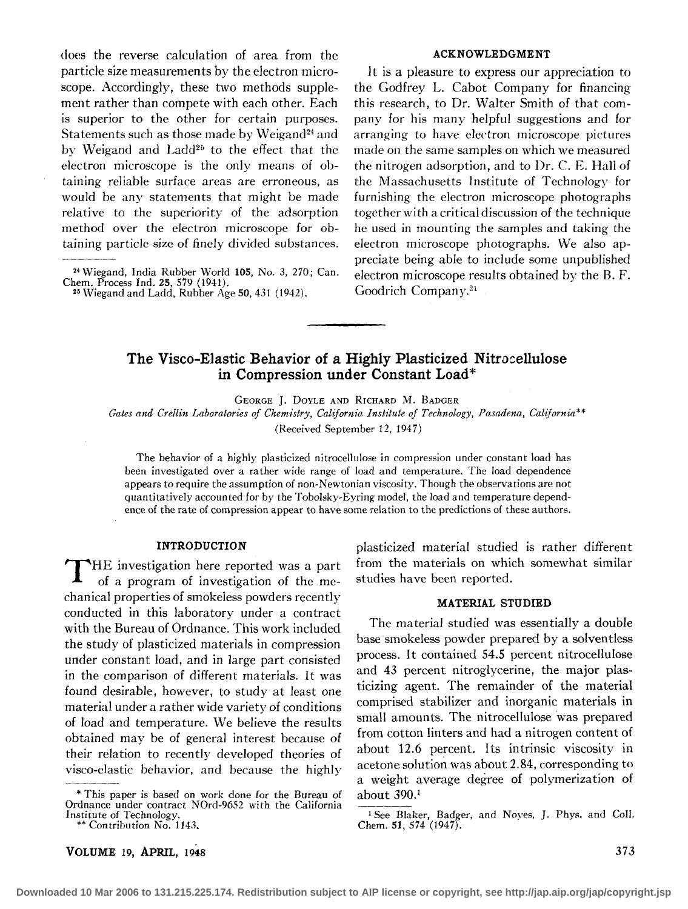does the reverse calculation of area from the particle size measurements by the electron microscope. Accordingly, these two methods supplement rather than compete with each other. Each is superior to the other for certain purposes. Statements such as those made by Weigand<sup>24</sup> and by Weigand and Ladd25 to the effect that the electron microscope is the only means of obtaining reliable surface areas are erroneous, as would be any statements that might be made relative to the superiority of the adsorption method over the electron microscope for obtaining particle size of finely divided substances.

<sup>25</sup> Wiegand and Ladd, Rubber Age 50, 431 (1942).

#### ACKNOWLEDGMENT

*lt* is a pleasure to express our appreciation to the Godfrey L. Cabot Company for financing this research, to Dr. Walter Smith of that company for his many helpful suggestions and for arranging to have electron microscope pictures made on the same samples on which we measured the nitrogen adsorption, and to Dr. C. E. Hall of the Massachusetts Institute of Technology for furnishing the electron microscope photographs together with a critical discussion of the technique he used in mounting the samples and taking the electron microscope photographs. We also appreciate being able to include some unpublished electron microscope results obtained by the B. F. Goodrich Company. <sup>21</sup>

# The Visco-Elastic Behavior of a Highly Plasticized Nitrocellulose in Compression under Constant Load\*

GEORGE J. DOYLE AND RICHARD M. BADGER *Gates and Crellin Laboratories of Chemistry, California Institute of Technology, Pasadena, California\*\**  (Received September 12, 1947)

The behavior of a highly plasticized nitrocellulose in compression under constant load has been investigated over a rather wide range of load and temperature. The load dependence appears to require the assumption of non-Newtonian viscosity. Though the observations are not quantitatively accounted for by the Tobolsky-Eyring model, the load and temperature dependence of the rate of compression appear to have some relation to the predictions of these authors.

## INTRODUCTION

HE investigation here reported was a part of a program of investigation of the mechanical properties of smokeless powders recently conducted in this laboratory under a contract with the Bureau of Ordnance. This work included the study of plasticized materials in compression under constant load, and in large part consisted in the comparison of different materials. It was found desirable, however, to study at least one material under a rather wide variety of conditions of load and temperature. We believe the results obtained may be of general interest because of their relation to recently developed theories of visco-elastic behavior, and because the highly

\*\*Contribution No. 1143.

VOLUME 19, APRIL, 1948

plasticized material studied is rather different from the materials on which somewhat similar studies have been reported.

#### MATERIAL STUDIED

The material studied was essentially a double base smokeless powder prepared by a solventless process. It contained 54.5 percent nitrocellulose and 43 percent nitroglycerine, the major plasticizing agent. The remainder of the material comprised stabilizer and inorganic materials in small amounts. The nitrocellulose was prepared from cotton linters and had a nitrogen content of about 12.6 percent. Its intrinsic viscosity in acetone solution was about 2.84, corresponding to a weight average degree of polymerization of about  $390.<sup>1</sup>$ 

 $24$  Wiegand, India Rubber World 105, No. 3, 270; Can.<br>Chem. Process Ind. 25, 579 (1941).

<sup>\*</sup> This paper is based on work done for the Bureau of Ordnance under contract NOrd-9652 with the California Institute of Technology.

<sup>&#</sup>x27;See Blaker, Badger, and Noyes, J. Phys. and Coil. Chem. 51, 574 (1947).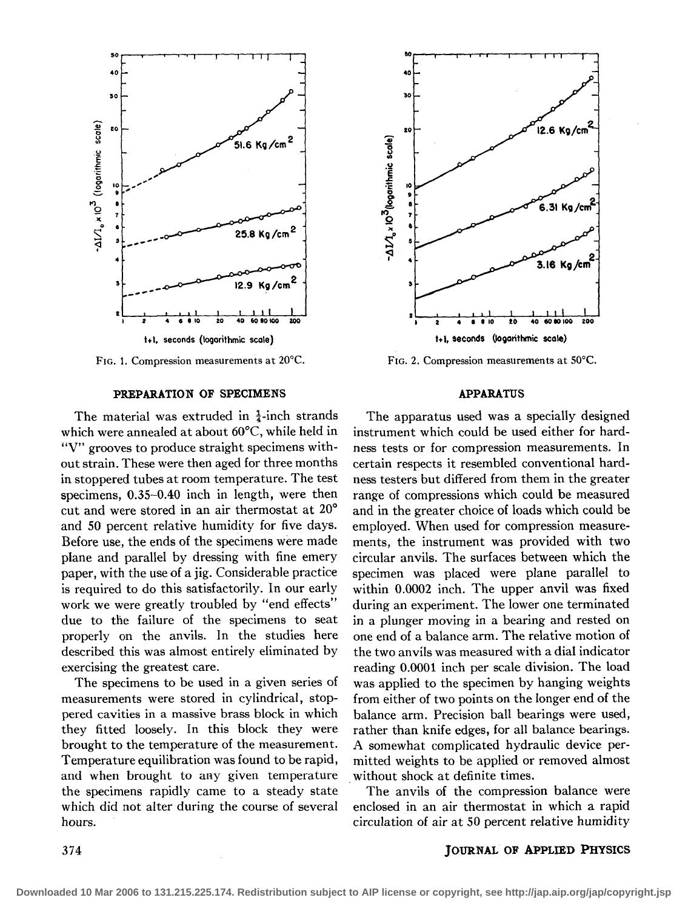

FIG. 1. Compression measurements at 20°C.

#### **PREPARATION OF SPECIMENS**

The material was extruded in  $\frac{1}{4}$ -inch strands which were annealed at about 60°C, while held in "V" grooves to produce straight specimens without strain. These were then aged for three months in stoppered tubes at room temperature. The test specimens, 0.35-0.40 inch in length, were then cut and were stored in an air thermostat at 20° and 50 percent relative humidity for five days. Before use, the ends of the specimens were made plane and parallel by dressing with fine emery paper, with the use of a jig. Considerable practice is required to do this satisfactorily. In our early work we were greatly troubled by "end effects" due to the failure of the specimens to seat properly on the anvils. In the studies here described this was almost entirely eliminated by exercising the greatest care.

The specimens to be used in a given series of measurements were stored in cylindrical, stoppered cavities in a massive brass block in which they fitted loosely. In this block they were brought to the temperature of the measurement. Temperature equilibration was found to be rapid, and when brought to any given temperature the specimens rapidly came to a steady state which did not alter during the course of several hours.



FIG. 2. Compression measurements at 50°C.

#### **APPARATUS**

The apparatus used was a specially designed instrument which could be used either for hardness tests or for compression measurements. In certain respects it resembled conventional hardness testers but differed from them in the greater range of compressions which could be measured and in the greater choice of loads which could be employed. When used for compression measurements, the instrument was provided with two circular anvils. The surfaces between which the specimen was placed were plane parallel to within 0.0002 inch. The upper anvil was fixed during an experiment. The lower one terminated in a plunger moving in a bearing and rested on one end of a balance arm. The relative motion of the two anvils was measured with a dial indicator reading 0.0001 inch per scale division. The load was applied to the specimen by hanging weights from either of two points on the longer end of the balance arm. Precision ball bearings were used, rather than knife edges, for all balance bearings. A somewhat complicated hydraulic device permitted weights to be applied or removed almost without shock at definite times.

The anvils of the compression balance were enclosed in an air thermostat in which a rapid circulation of air at 50 percent relative humidity

## **JOURNAL OF APPLIED PHYSICS**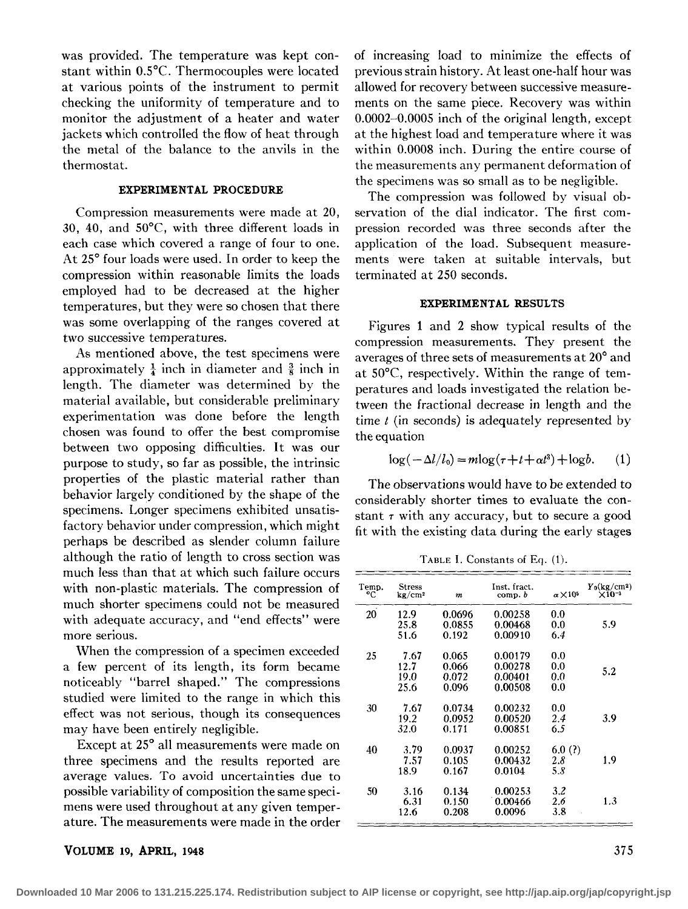was provided. The temperature was kept constant within 0.5°C. Thermocouples were located at various points of the instrument to permit checking the uniformity of temperature and to monitor the adjustment of a heater and water jackets which controlled the flow of heat through the metal of the balance to the anvils in the thermostat.

# **EXPERIMENTAL PROCEDURE**

Compression measurements were made at 20, 30, 40, and 50°C, with three different loads in each case which covered a range of four to one. At 25° four loads were used. In order to keep the compression within reasonable limits the loads employed had to be decreased at the higher temperatures, but they were so chosen that there was some overlapping of the ranges covered at two successive temperatures.

As mentioned above, the test specimens were approximately  $\frac{1}{4}$  inch in diameter and  $\frac{3}{8}$  inch in length. The diameter was determined by the material available, but considerable preliminary experimentation was done before the length chosen was found to offer the best compromise between two opposing difficulties. It was our purpose to study, so far as possible, the intrinsic properties of the plastic material rather than behavior largely conditioned by the shape of the specimens. Longer specimens exhibited unsatisfactory behavior under compression, which might perhaps be described as slender column failure although the ratio of length to cross section was much less than that at which such failure occurs with non-plastic materials. The compression of much shorter specimens could not be measured with adequate accuracy, and "end effects" were more serious.

\Vhen the compression of a specimen exceeded a few percent of its length, its form became noticeably "barrel shaped." The compressions studied were limited to the range in which this effect was not serious, though its consequences may have been entirely negligible.

Except at 25° all measurements were made on three specimens and the results reported are average values. To avoid uncertainties due to possible variability of composition the same specimens were used throughout at any given temperature. The measurements were made in the order

**VOLUME 19, APRIL, 1948** 

of increasing load to minimize the effects of previous strain history. At least one-half hour was allowed for recovery between successive measurements on the same piece. Recovery was within 0.0002-0.0005 inch of the original length, except at the highest load and temperature where it was within 0.0008 inch. During the entire course of the measurements any permanent deformation of the specimens was so small as to be negligible.

The compression was followed by visual observation of the dial indicator. The first compression recorded was three seconds after the application of the load. Subsequent measurements were taken at suitable intervals, but terminated at 250 seconds.

#### **EXPERIMENTAL RESULTS**

Figures **1** and 2 show typical results of the compression measurements. They present the averages of three sets of measurements at 20° and at 50°C, respectively. Within the range of temperatures and loads investigated the relation between the fractional decrease in length and the time *t* (in seconds) is adequately represented by the equation

$$
\log(-\Delta l/l_0) = m \log(\tau + t + \alpha t^3) + \log b. \tag{1}
$$

The observations would have to be extended to considerably shorter times to evaluate the constant  $\tau$  with any accuracy, but to secure a good fit with the existing data during the early stages

TABLE I. Constants of Eq. (1).

| Temp.<br>°C | <b>Stress</b><br>kg/cm <sup>2</sup> | $\boldsymbol{m}$ | Inst. fract.<br>comp. b | $\alpha\times10^5$ | $Y_0$ (kg/cm <sup>2</sup> )<br>$\times$ 10 <sup>-3</sup> |
|-------------|-------------------------------------|------------------|-------------------------|--------------------|----------------------------------------------------------|
| 20          | 12.9                                | 0.0696           | 0.00258                 | 0.0                |                                                          |
|             | 25.8                                | 0.0855           | 0.00468                 | 0.0                | 5.9                                                      |
|             | 51.6                                | 0.192            | 0.00910                 | 6.4                |                                                          |
| 25          | 7.67                                | 0.065            | 0.00179                 | 0.0                |                                                          |
|             | 12.7                                | 0.066            | 0.00278                 | 0.0                |                                                          |
|             | 19.0                                | 0.072            | 0.00401                 | 0.0                | 5.2                                                      |
|             | 25.6                                | 0.096            | 0.00508                 | 0.0                |                                                          |
| 30          | 7.67                                | 0.0734           | 0.00232                 | 0.0                |                                                          |
|             | 19.2                                | 0.0952           | 0.00520                 | 2.4                | 3.9                                                      |
|             | 32.0                                | 0.171            | 0.00851                 | 6.5                |                                                          |
| 40          | 3.79                                | 0.0937           | 0.00252                 | 6.0(?)             |                                                          |
|             | 7.57                                | 0.105            | 0.00432                 | 2.8                | 1.9                                                      |
|             | 18.9                                | 0.167            | 0.0104                  | 5.8                |                                                          |
| 50          | 3.16                                | 0.134            | 0.00253                 | 3.2                |                                                          |
|             | 6.31                                | 0.150            | 0.00466                 | 2.6                | 1.3                                                      |
|             | 12.6                                | 0.208            | 0.0096                  | 3.8                |                                                          |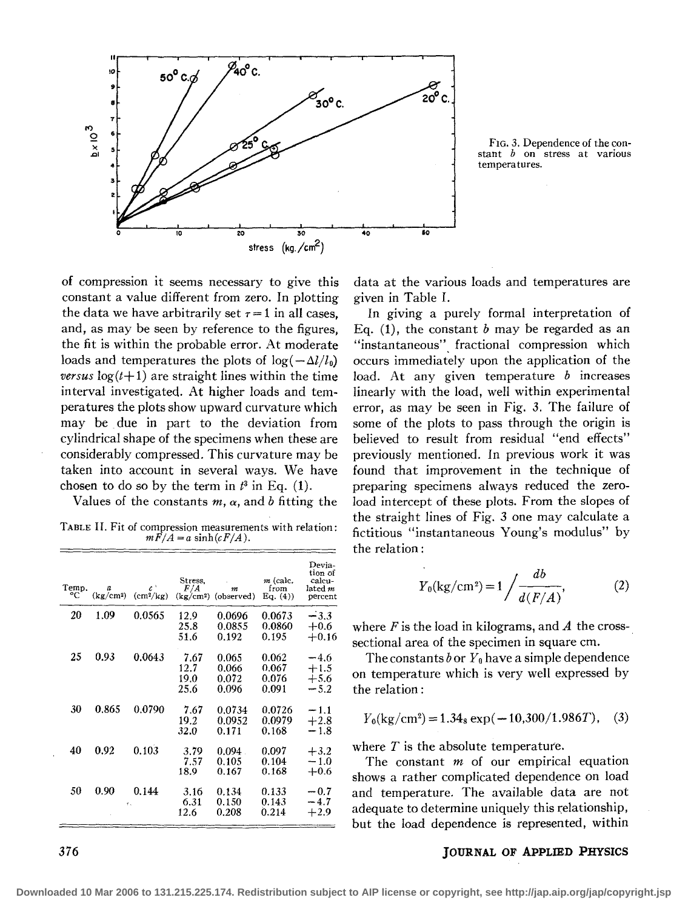

FIG. 3. Dependence of the con-<br>stant  $\bar{b}$  on stress at various temperatures.

of compression it seems necessary to give this constant a value different from zero. In plotting the data we have arbitrarily set  $\tau = 1$  in all cases. and, as may be seen by reference to the figures, the fit is within the probable error. At moderate loads and temperatures the plots of  $log(-\Delta l/l_0)$ *versus*  $log(t+1)$  are straight lines within the time interval investigated. At higher loads and temperatures the plots show upward curvature which may be due in part to the deviation from cylindrical shape of the specimens when these are considerably compressed. This curvature may be taken into account in several ways. We have chosen to do so by the term in  $t^3$  in Eq. (1).

Values of the constants  $m$ ,  $\alpha$ , and *b* fitting the

TABLE II. Fit of compression measurements with relation:  $m\ddot{F}/A = a \sinh(cF/A)$ .

| Temp.<br>°C | a<br>(kg/cm <sup>2</sup> ) | $\text{cm}^2/\text{kg}$ | Stress.<br>F / A<br>(kg/cm <sup>2</sup> ) | m<br>(observed)                  | $m$ (calc.<br>from<br>Eq. (4)    | Devia-<br>tion of<br>calcu-<br>lated m<br>percent |
|-------------|----------------------------|-------------------------|-------------------------------------------|----------------------------------|----------------------------------|---------------------------------------------------|
| 20          | 1.09                       | 0.0565                  | 12.9<br>25.8<br>51.6                      | 0.0696<br>0.0855<br>0.192        | 0.0673<br>0.0860<br>0.195        | $-3.3$<br>$+0.6$<br>$+0.16$                       |
| 25          | 0.93                       | 0.0643                  | 7.67<br>12.7<br>19.0<br>25.6              | 0.065<br>0.066<br>0.072<br>0.096 | 0.062<br>0.067<br>0.076<br>0.091 | $-4.6$<br>$+1.5$<br>$+5.6$<br>$-5.2$              |
| 30          | 0.865                      | 0.0790                  | 7.67<br>19.2<br>32.0                      | 0.0734<br>0.0952<br>0.171        | 0.0726<br>0.0979<br>0.168        | $-1.1$<br>$+2.8$<br>$-1.8$                        |
| 40          | 0.92                       | 0.103                   | 3.79<br>7.57<br>18.9                      | $0.094$ .<br>0.105<br>0.167      | 0.097<br>0.104<br>0.168          | $+3.2$<br>$-1.0$<br>$+0.6$                        |
| 50          | 0.90<br>۲ċ                 | 0.144                   | 3.16<br>6.31<br>12.6                      | 0.134<br>0.150<br>0.208          | 0.133<br>0.143<br>0.214          | $-0.7$<br>$-4.7$<br>$+2.9$                        |

data at the various loads and temperatures are given in Table I.

In giving a purely formal interpretation of Eq. (1), the constant *b* may be regarded as an "instantaneous" fractional compression which occurs immediately upon the application of the load. At any given temperature  $b$  increases linearly with the load, well within experimental error, as may be seen in Fig. 3. The failure of some of the plots to pass through the origin is believed to result from residual "end effects" previously mentioned. In previous work it was found that improvement in the technique of preparing specimens always reduced the zeroload intercept of these plots. From the slopes of the straight lines of Fig. 3 one may calculate a fictitious "instantaneous Young's modulus" by the relation:

$$
Y_0(\text{kg/cm}^2) = 1 / \frac{db}{d(F/A)},\tag{2}
$$

where  $F$  is the load in kilograms, and  $\vec{A}$  the crosssectional area of the specimen in square em.

The constants *b* or  $Y_0$  have a simple dependence on temperature which is very well expressed by the relation:

 $Y_0(\text{kg/cm}^2) = 1.34_8 \text{ exp}(-10,300/1.986T),$  (3)

where *T* is the absolute temperature.

The constant *m* of our empirical equation shows a rather complicated dependence on load and temperature. The available data are not adequate to determine uniquely this relationship, but the load dependence is represented, within

## **JOURNAL OF APPLIED PHYSICS**